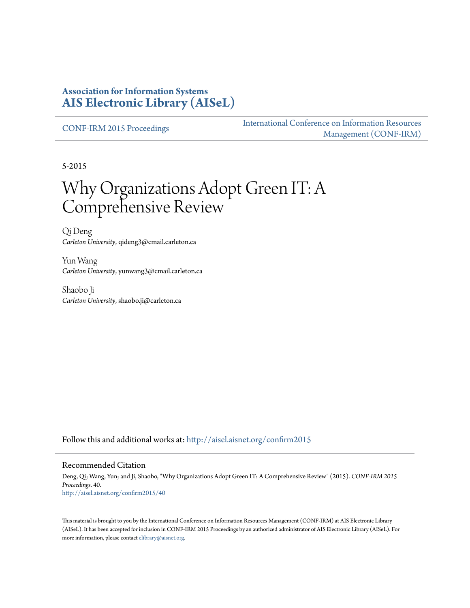### **Association for Information Systems [AIS Electronic Library \(AISeL\)](http://aisel.aisnet.org?utm_source=aisel.aisnet.org%2Fconfirm2015%2F40&utm_medium=PDF&utm_campaign=PDFCoverPages)**

[CONF-IRM 2015 Proceedings](http://aisel.aisnet.org/confirm2015?utm_source=aisel.aisnet.org%2Fconfirm2015%2F40&utm_medium=PDF&utm_campaign=PDFCoverPages)

[International Conference on Information Resources](http://aisel.aisnet.org/conf-irm?utm_source=aisel.aisnet.org%2Fconfirm2015%2F40&utm_medium=PDF&utm_campaign=PDFCoverPages) [Management \(CONF-IRM\)](http://aisel.aisnet.org/conf-irm?utm_source=aisel.aisnet.org%2Fconfirm2015%2F40&utm_medium=PDF&utm_campaign=PDFCoverPages)

5-2015

# Why Organizations Adopt Green IT: A Comprehensive Review

Qi Deng *Carleton University*, qideng3@cmail.carleton.ca

Yun Wang *Carleton University*, yunwang3@cmail.carleton.ca

Shaobo Ji *Carleton University*, shaobo.ji@carleton.ca

Follow this and additional works at: [http://aisel.aisnet.org/confirm2015](http://aisel.aisnet.org/confirm2015?utm_source=aisel.aisnet.org%2Fconfirm2015%2F40&utm_medium=PDF&utm_campaign=PDFCoverPages)

#### Recommended Citation

Deng, Qi; Wang, Yun; and Ji, Shaobo, "Why Organizations Adopt Green IT: A Comprehensive Review" (2015). *CONF-IRM 2015 Proceedings*. 40. [http://aisel.aisnet.org/confirm2015/40](http://aisel.aisnet.org/confirm2015/40?utm_source=aisel.aisnet.org%2Fconfirm2015%2F40&utm_medium=PDF&utm_campaign=PDFCoverPages)

This material is brought to you by the International Conference on Information Resources Management (CONF-IRM) at AIS Electronic Library (AISeL). It has been accepted for inclusion in CONF-IRM 2015 Proceedings by an authorized administrator of AIS Electronic Library (AISeL). For more information, please contact [elibrary@aisnet.org.](mailto:elibrary@aisnet.org%3E)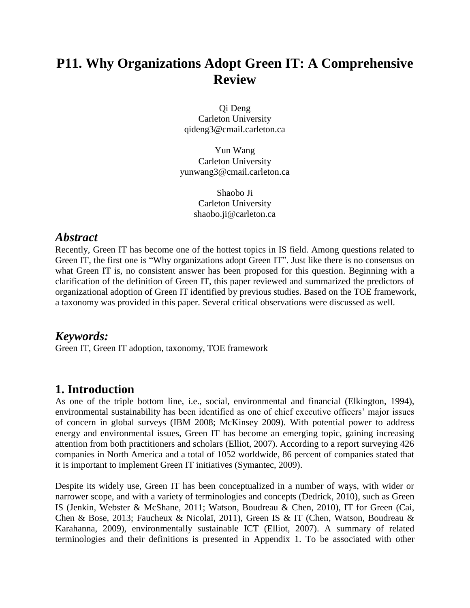# **P11. Why Organizations Adopt Green IT: A Comprehensive Review**

Qi Deng Carleton University qideng3@cmail.carleton.ca

Yun Wang Carleton University yunwang3@cmail.carleton.ca

> Shaobo Ji Carleton University shaobo.ji@carleton.ca

### *Abstract*

Recently, Green IT has become one of the hottest topics in IS field. Among questions related to Green IT, the first one is "Why organizations adopt Green IT". Just like there is no consensus on what Green IT is, no consistent answer has been proposed for this question. Beginning with a clarification of the definition of Green IT, this paper reviewed and summarized the predictors of organizational adoption of Green IT identified by previous studies. Based on the TOE framework, a taxonomy was provided in this paper. Several critical observations were discussed as well.

### *Keywords:*

Green IT, Green IT adoption, taxonomy, TOE framework

### **1. Introduction**

As one of the triple bottom line, i.e., social, environmental and financial (Elkington, 1994), environmental sustainability has been identified as one of chief executive officers' major issues of concern in global surveys (IBM 2008; McKinsey 2009). With potential power to address energy and environmental issues, Green IT has become an emerging topic, gaining increasing attention from both practitioners and scholars (Elliot, 2007). According to a report surveying 426 companies in North America and a total of 1052 worldwide, 86 percent of companies stated that it is important to implement Green IT initiatives (Symantec, 2009).

Despite its widely use, Green IT has been conceptualized in a number of ways, with wider or narrower scope, and with a variety of terminologies and concepts (Dedrick, 2010), such as Green IS (Jenkin, Webster & McShane, 2011; Watson, Boudreau & Chen, 2010), IT for Green (Cai, Chen & Bose, 2013; Faucheux & Nicolaï, 2011), Green IS & IT (Chen, Watson, Boudreau & Karahanna, 2009), environmentally sustainable ICT (Elliot, 2007). A summary of related terminologies and their definitions is presented in Appendix 1. To be associated with other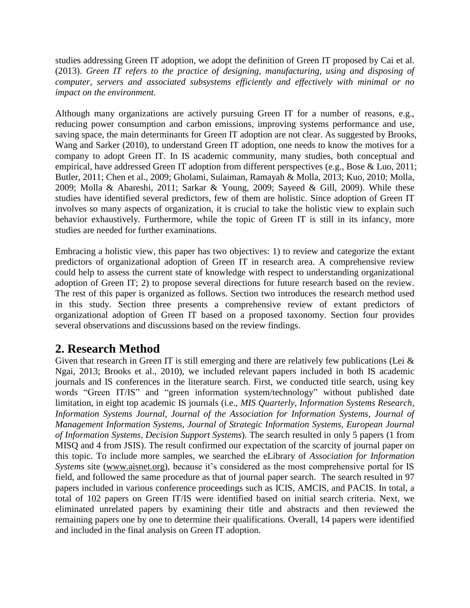studies addressing Green IT adoption, we adopt the definition of Green IT proposed by Cai et al. (2013). *Green IT refers to the practice of designing, manufacturing, using and disposing of computer, servers and associated subsystems efficiently and effectively with minimal or no impact on the environment.*

Although many organizations are actively pursuing Green IT for a number of reasons, e.g., reducing power consumption and carbon emissions, improving systems performance and use, saving space, the main determinants for Green IT adoption are not clear. As suggested by Brooks, Wang and Sarker (2010), to understand Green IT adoption, one needs to know the motives for a company to adopt Green IT. In IS academic community, many studies, both conceptual and empirical, have addressed Green IT adoption from different perspectives (e.g., Bose & Luo, 2011; Butler, 2011; Chen et al., 2009; Gholami, Sulaiman, Ramayah & Molla, 2013; Kuo, 2010; Molla, 2009; Molla & Abareshi, 2011; Sarkar & Young, 2009; Sayeed & Gill, 2009). While these studies have identified several predictors, few of them are holistic. Since adoption of Green IT involves so many aspects of organization, it is crucial to take the holistic view to explain such behavior exhaustively. Furthermore, while the topic of Green IT is still in its infancy, more studies are needed for further examinations.

Embracing a holistic view, this paper has two objectives: 1) to review and categorize the extant predictors of organizational adoption of Green IT in research area. A comprehensive review could help to assess the current state of knowledge with respect to understanding organizational adoption of Green IT; 2) to propose several directions for future research based on the review. The rest of this paper is organized as follows. Section two introduces the research method used in this study. Section three presents a comprehensive review of extant predictors of organizational adoption of Green IT based on a proposed taxonomy. Section four provides several observations and discussions based on the review findings.

# **2. Research Method**

Given that research in Green IT is still emerging and there are relatively few publications (Lei & Ngai, 2013; Brooks et al., 2010), we included relevant papers included in both IS academic journals and IS conferences in the literature search. First, we conducted title search, using key words "Green IT/IS" and "green information system/technology" without published date limitation, in eight top academic IS journals (i.e., *MIS Quarterly, Information Systems Research, Information Systems Journal, Journal of the Association for Information Systems, Journal of Management Information Systems, Journal of Strategic Information Systems, European Journal of Information Systems, Decision Support Systems*). The search resulted in only 5 papers (1 from MISQ and 4 from JSIS). The result confirmed our expectation of the scarcity of journal paper on this topic. To include more samples, we searched the eLibrary of *Association for Information Systems* site [\(www.aisnet.org\)](http://www.aisnet.org/), because it's considered as the most comprehensive portal for IS field, and followed the same procedure as that of journal paper search. The search resulted in 97 papers included in various conference proceedings such as ICIS, AMCIS, and PACIS. In total, a total of 102 papers on Green IT/IS were identified based on initial search criteria. Next, we eliminated unrelated papers by examining their title and abstracts and then reviewed the remaining papers one by one to determine their qualifications. Overall, 14 papers were identified and included in the final analysis on Green IT adoption.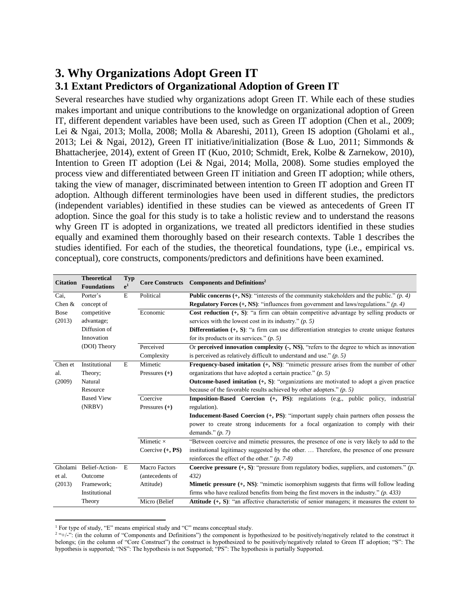# **3. Why Organizations Adopt Green IT 3.1 Extant Predictors of Organizational Adoption of Green IT**

Several researches have studied why organizations adopt Green IT. While each of these studies makes important and unique contributions to the knowledge on organizational adoption of Green IT, different dependent variables have been used, such as Green IT adoption (Chen et al., 2009; Lei & Ngai, 2013; Molla, 2008; Molla & Abareshi, 2011), Green IS adoption (Gholami et al., 2013; Lei & Ngai, 2012), Green IT initiative/initialization (Bose & Luo, 2011; Simmonds & Bhattacherjee, 2014), extent of Green IT (Kuo, 2010; Schmidt, Erek, Kolbe & Zarnekow, 2010), Intention to Green IT adoption (Lei & Ngai, 2014; Molla, 2008). Some studies employed the process view and differentiated between Green IT initiation and Green IT adoption; while others, taking the view of manager, discriminated between intention to Green IT adoption and Green IT adoption. Although different terminologies have been used in different studies, the predictors (independent variables) identified in these studies can be viewed as antecedents of Green IT adoption. Since the goal for this study is to take a holistic review and to understand the reasons why Green IT is adopted in organizations, we treated all predictors identified in these studies equally and examined them thoroughly based on their research contexts. Table 1 describes the studies identified. For each of the studies, the theoretical foundations, type (i.e., empirical vs. conceptual), core constructs, components/predictors and definitions have been examined.

| <b>Citation</b>                                                                    | <b>Theoretical</b><br><b>Foundations</b>                                                                                    | <b>Typ</b><br>e <sup>1</sup> | <b>Core Constructs</b> | <b>Components and Definitions<sup>2</sup></b>                                                         |  |  |  |
|------------------------------------------------------------------------------------|-----------------------------------------------------------------------------------------------------------------------------|------------------------------|------------------------|-------------------------------------------------------------------------------------------------------|--|--|--|
| Cai,                                                                               | Porter's                                                                                                                    | E                            | Political              | <b>Public concerns (+, NS)</b> : "interests of the community stakeholders and the public." (p. 4)     |  |  |  |
| Chen $&$                                                                           | concept of                                                                                                                  |                              |                        | <b>Regulatory Forces (+, NS)</b> : "influences from government and laws/regulations." ( $p. 4$ )      |  |  |  |
| <b>Bose</b>                                                                        | Economic<br>competitive<br><b>Cost reduction</b> $(+, S)$ : "a firm can obtain competitive advantage by selling products or |                              |                        |                                                                                                       |  |  |  |
| (2013)                                                                             | advantage;                                                                                                                  |                              |                        | services with the lowest cost in its industry." $(p, 5)$                                              |  |  |  |
|                                                                                    | Diffusion of                                                                                                                |                              |                        | Differentiation $(+, S)$ : "a firm can use differentiation strategies to create unique features       |  |  |  |
| Innovation                                                                         |                                                                                                                             |                              |                        | for its products or its services." $(p, 5)$                                                           |  |  |  |
|                                                                                    | (DOI) Theory                                                                                                                |                              | Perceived              | Or perceived innovation complexity (-, NS), "refers to the degree to which as innovation              |  |  |  |
|                                                                                    |                                                                                                                             |                              | Complexity             | is perceived as relatively difficult to understand and use." $(p, 5)$                                 |  |  |  |
| Chen et                                                                            | Institutional                                                                                                               | E                            | Mimetic                | Frequency-based imitation (+, NS): "mimetic pressure arises from the number of other                  |  |  |  |
| al.                                                                                | Theory;                                                                                                                     |                              | Pressures $(+)$        | organizations that have adopted a certain practice." $(p, 5)$                                         |  |  |  |
| (2009)                                                                             | <b>Outcome-based imitation</b> $(+, S)$ : "organizations are motivated to adopt a given practice<br>Natural                 |                              |                        |                                                                                                       |  |  |  |
| Resource<br>because of the favorable results achieved by other adopters." $(p, 5)$ |                                                                                                                             |                              |                        |                                                                                                       |  |  |  |
|                                                                                    | <b>Based View</b>                                                                                                           |                              | Coercive               | <b>Imposition-Based Coercion</b> (+, PS): regulations (e.g., public policy, industrial                |  |  |  |
|                                                                                    | (NRBV)                                                                                                                      |                              | Pressures $(+)$        | regulation).                                                                                          |  |  |  |
|                                                                                    |                                                                                                                             |                              |                        | Inducement-Based Coercion (+, PS): "important supply chain partners often possess the                 |  |  |  |
|                                                                                    |                                                                                                                             |                              |                        | power to create strong inducements for a focal organization to comply with their                      |  |  |  |
|                                                                                    |                                                                                                                             |                              |                        | demands." $(p, 7)$                                                                                    |  |  |  |
|                                                                                    |                                                                                                                             |                              | Mimetic $\times$       | "Between coercive and mimetic pressures, the presence of one is very likely to add to the             |  |  |  |
|                                                                                    |                                                                                                                             |                              | Coercive $(+, PS)$     | institutional legitimacy suggested by the other.  Therefore, the presence of one pressure             |  |  |  |
|                                                                                    |                                                                                                                             |                              |                        | reinforces the effect of the other." $(p. 7-8)$                                                       |  |  |  |
| Gholami                                                                            | Belief-Action-                                                                                                              | E                            | <b>Macro Factors</b>   | <b>Coercive pressure</b> $(+, S)$ : "pressure from regulatory bodies, suppliers, and customers." (p.  |  |  |  |
| et al.                                                                             | Outcome                                                                                                                     |                              | (antecedents of        | 432)                                                                                                  |  |  |  |
| (2013)                                                                             | Framework;                                                                                                                  |                              | Attitude)              | Mimetic pressure (+, NS): "mimetic isomorphism suggests that firms will follow leading                |  |  |  |
|                                                                                    | Institutional                                                                                                               |                              |                        | firms who have realized benefits from being the first movers in the industry." $(p. 433)$             |  |  |  |
|                                                                                    | Theory                                                                                                                      |                              | Micro (Belief          | <b>Attitude</b> $(+, S)$ : "an affective characteristic of senior managers; it measures the extent to |  |  |  |

<sup>&</sup>lt;sup>1</sup> For type of study, "E" means empirical study and "C" means conceptual study.

 $\overline{a}$ 

 $2^{2+}$ /-": (in the column of "Components and Definitions") the component is hypothesized to be positively/negatively related to the construct it belongs; (in the column of "Core Construct") the construct is hypothesized to be positively/negatively related to Green IT adoption; "S": The hypothesis is supported; "NS": The hypothesis is not Supported; "PS": The hypothesis is partially Supported.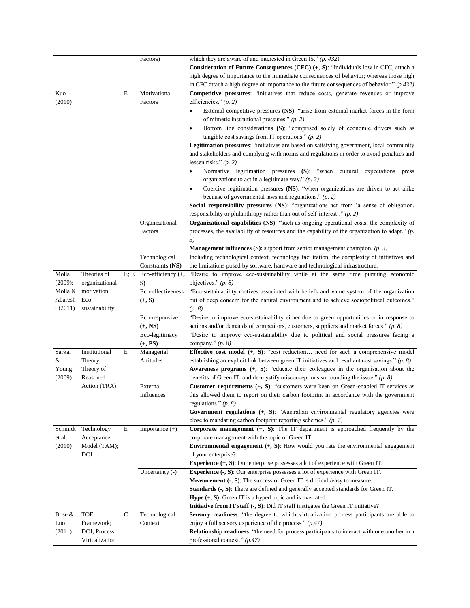|               |                |             | Factors)                                      | which they are aware of and interested in Green IS." $(p. 432)$<br><b>Consideration of Future Consequences (CFC)</b> $(+, S)$ : "Individuals low in CFC, attach a<br>high degree of importance to the immediate consequences of behavior; whereas those high<br>in CFC attach a high degree of importance to the future consequences of behavior." $(p.432)$                                                                                                                                                                                                                                                                                                                                                                                                                                                                                                                                                                                                                                                                                                                                           |
|---------------|----------------|-------------|-----------------------------------------------|--------------------------------------------------------------------------------------------------------------------------------------------------------------------------------------------------------------------------------------------------------------------------------------------------------------------------------------------------------------------------------------------------------------------------------------------------------------------------------------------------------------------------------------------------------------------------------------------------------------------------------------------------------------------------------------------------------------------------------------------------------------------------------------------------------------------------------------------------------------------------------------------------------------------------------------------------------------------------------------------------------------------------------------------------------------------------------------------------------|
| Kuo<br>(2010) |                | E           | Motivational<br>Factors                       | Competitive pressures: "initiatives that reduce costs, generate revenues or improve<br>efficiencies." $(p, 2)$<br>External competitive pressures (NS): "arise from external market forces in the form<br>of mimetic institutional pressures." $(p, 2)$<br>Bottom line considerations (S): "comprised solely of economic drivers such as<br>$\bullet$<br>tangible cost savings from IT operations." $(p, 2)$<br>Legitimation pressures: "initiatives are based on satisfying government, local community<br>and stakeholders and complying with norms and regulations in order to avoid penalties and<br>lessen risks." $(p. 2)$<br>Normative legitimation pressures (S): "when cultural expectations press<br>$\bullet$<br>organizations to act in a legitimate way." $(p, 2)$<br>Coercive legitimation pressures (NS): "when organizations are driven to act alike<br>because of governmental laws and regulations." $(p, 2)$<br>Social responsibility pressures (NS): "organizations act from 'a sense of obligation,<br>responsibility or philanthropy rather than out of self-interest'." $(p, 2)$ |
|               |                |             | Organizational<br>Factors                     | Organizational capabilities (NS): "such as ongoing operational costs, the complexity of<br>processes, the availability of resources and the capability of the organization to adapt." $(p$ .<br>3)<br><b>Management influences (S)</b> : support from senior management champion. $(p, 3)$                                                                                                                                                                                                                                                                                                                                                                                                                                                                                                                                                                                                                                                                                                                                                                                                             |
|               |                |             | Technological                                 | Including technological context, technology facilitation, the complexity of initiatives and                                                                                                                                                                                                                                                                                                                                                                                                                                                                                                                                                                                                                                                                                                                                                                                                                                                                                                                                                                                                            |
|               |                |             | Constraints (NS)                              | the limitations posed by software, hardware and technological infrastructure.                                                                                                                                                                                                                                                                                                                                                                                                                                                                                                                                                                                                                                                                                                                                                                                                                                                                                                                                                                                                                          |
| Molla         | Theories of    |             | E; E Eco-efficiency $(+,$                     | "Desire to improve eco-sustainability while at the same time pursuing economic                                                                                                                                                                                                                                                                                                                                                                                                                                                                                                                                                                                                                                                                                                                                                                                                                                                                                                                                                                                                                         |
| (2009);       | organizational |             | S)                                            | objectives." $(p. 8)$                                                                                                                                                                                                                                                                                                                                                                                                                                                                                                                                                                                                                                                                                                                                                                                                                                                                                                                                                                                                                                                                                  |
| Molla &       | motivation;    |             | Eco-effectiveness                             | "Eco-sustainability motives associated with beliefs and value system of the organization                                                                                                                                                                                                                                                                                                                                                                                                                                                                                                                                                                                                                                                                                                                                                                                                                                                                                                                                                                                                               |
| Abaresh       | Eco-           |             | $(+, S)$                                      | out of deep concern for the natural environment and to achieve sociopolitical outcomes."                                                                                                                                                                                                                                                                                                                                                                                                                                                                                                                                                                                                                                                                                                                                                                                                                                                                                                                                                                                                               |
| i(2011)       | sustainability |             |                                               | (p. 8)                                                                                                                                                                                                                                                                                                                                                                                                                                                                                                                                                                                                                                                                                                                                                                                                                                                                                                                                                                                                                                                                                                 |
|               |                |             | Eco-responsive<br>$(+, NS)$<br>Eco-legitimacy | "Desire to improve eco-sustainability either due to green opportunities or in response to<br>actions and/or demands of competitors, customers, suppliers and market forces." $(p, 8)$<br>"Desire to improve eco-sustainability due to political and social pressures facing a                                                                                                                                                                                                                                                                                                                                                                                                                                                                                                                                                                                                                                                                                                                                                                                                                          |
|               |                |             | $(+, PS)$                                     | company." $(p. 8)$                                                                                                                                                                                                                                                                                                                                                                                                                                                                                                                                                                                                                                                                                                                                                                                                                                                                                                                                                                                                                                                                                     |
| Sarkar        | Institutional  | E           | Managerial                                    | <b>Effective cost model</b> (+, S): "cost reduction need for such a comprehensive model                                                                                                                                                                                                                                                                                                                                                                                                                                                                                                                                                                                                                                                                                                                                                                                                                                                                                                                                                                                                                |
| &             | Theory;        |             | Attitudes                                     | establishing an explicit link between green IT initiatives and resultant cost savings." $(p, 8)$                                                                                                                                                                                                                                                                                                                                                                                                                                                                                                                                                                                                                                                                                                                                                                                                                                                                                                                                                                                                       |
| Young         | Theory of      |             |                                               | Awareness programs (+, S): "educate their colleagues in the organisation about the                                                                                                                                                                                                                                                                                                                                                                                                                                                                                                                                                                                                                                                                                                                                                                                                                                                                                                                                                                                                                     |
| (2009)        | Reasoned       |             |                                               | benefits of Green IT, and de-mystify misconceptions surrounding the issue." $(p, 8)$                                                                                                                                                                                                                                                                                                                                                                                                                                                                                                                                                                                                                                                                                                                                                                                                                                                                                                                                                                                                                   |
|               | Action (TRA)   |             | External                                      | <b>Customer requirements</b> $(+, S)$ : "customers were keen on Green-enabled IT services as                                                                                                                                                                                                                                                                                                                                                                                                                                                                                                                                                                                                                                                                                                                                                                                                                                                                                                                                                                                                           |
|               |                |             | Influences                                    | this allowed them to report on their carbon footprint in accordance with the government                                                                                                                                                                                                                                                                                                                                                                                                                                                                                                                                                                                                                                                                                                                                                                                                                                                                                                                                                                                                                |
|               |                |             |                                               | regulations." $(p. 8)$                                                                                                                                                                                                                                                                                                                                                                                                                                                                                                                                                                                                                                                                                                                                                                                                                                                                                                                                                                                                                                                                                 |
|               |                |             |                                               | <b>Government regulations</b> $(+, S)$ : "Australian environmental regulatory agencies were                                                                                                                                                                                                                                                                                                                                                                                                                                                                                                                                                                                                                                                                                                                                                                                                                                                                                                                                                                                                            |
|               |                |             |                                               | close to mandating carbon footprint reporting schemes." $(p. 7)$                                                                                                                                                                                                                                                                                                                                                                                                                                                                                                                                                                                                                                                                                                                                                                                                                                                                                                                                                                                                                                       |
| Schmidt       | Technology     | $\mathbf E$ | Importance $(+)$                              | Corporate management $(+, S)$ : The IT department is approached frequently by the                                                                                                                                                                                                                                                                                                                                                                                                                                                                                                                                                                                                                                                                                                                                                                                                                                                                                                                                                                                                                      |
| et al.        | Acceptance     |             |                                               | corporate management with the topic of Green IT.                                                                                                                                                                                                                                                                                                                                                                                                                                                                                                                                                                                                                                                                                                                                                                                                                                                                                                                                                                                                                                                       |
| (2010)        | Model (TAM);   |             |                                               | <b>Environmental engagement</b> $(+, S)$ : How would you rate the environmental engagement                                                                                                                                                                                                                                                                                                                                                                                                                                                                                                                                                                                                                                                                                                                                                                                                                                                                                                                                                                                                             |
|               | DOI            |             |                                               | of your enterprise?                                                                                                                                                                                                                                                                                                                                                                                                                                                                                                                                                                                                                                                                                                                                                                                                                                                                                                                                                                                                                                                                                    |
|               |                |             |                                               | <b>Experience</b> $(+, S)$ : Our enterprise possesses a lot of experience with Green IT.                                                                                                                                                                                                                                                                                                                                                                                                                                                                                                                                                                                                                                                                                                                                                                                                                                                                                                                                                                                                               |
|               |                |             | Uncertainty (-)                               | <b>Experience (-, S):</b> Our enterprise possesses a lot of experience with Green IT.                                                                                                                                                                                                                                                                                                                                                                                                                                                                                                                                                                                                                                                                                                                                                                                                                                                                                                                                                                                                                  |
|               |                |             |                                               | <b>Measurement <math>\left(\text{-}, S\right)</math>:</b> The success of Green IT is difficult/easy to measure.                                                                                                                                                                                                                                                                                                                                                                                                                                                                                                                                                                                                                                                                                                                                                                                                                                                                                                                                                                                        |
|               |                |             |                                               | <b>Standards (-, S):</b> There are defined and generally accepted standards for Green IT.                                                                                                                                                                                                                                                                                                                                                                                                                                                                                                                                                                                                                                                                                                                                                                                                                                                                                                                                                                                                              |
|               |                |             |                                               | <b>Hype</b> $(+, S)$ : Green IT is a hyped topic and is overrated.<br>Initiative from IT staff (-, S): Did IT staff instigates the Green IT initiative?                                                                                                                                                                                                                                                                                                                                                                                                                                                                                                                                                                                                                                                                                                                                                                                                                                                                                                                                                |
| Bose $&$      | <b>TOE</b>     | ${\bf C}$   | Technological                                 | Sensory readiness: "the degree to which virtualization process participants are able to                                                                                                                                                                                                                                                                                                                                                                                                                                                                                                                                                                                                                                                                                                                                                                                                                                                                                                                                                                                                                |
| Luo           | Framework;     |             | Context                                       | enjoy a full sensory experience of the process." $(p.47)$                                                                                                                                                                                                                                                                                                                                                                                                                                                                                                                                                                                                                                                                                                                                                                                                                                                                                                                                                                                                                                              |
| (2011)        | DOI; Process   |             |                                               | Relationship readiness: "the need for process participants to interact with one another in a                                                                                                                                                                                                                                                                                                                                                                                                                                                                                                                                                                                                                                                                                                                                                                                                                                                                                                                                                                                                           |
|               | Virtualization |             |                                               | professional context." $(p.47)$                                                                                                                                                                                                                                                                                                                                                                                                                                                                                                                                                                                                                                                                                                                                                                                                                                                                                                                                                                                                                                                                        |
|               |                |             |                                               |                                                                                                                                                                                                                                                                                                                                                                                                                                                                                                                                                                                                                                                                                                                                                                                                                                                                                                                                                                                                                                                                                                        |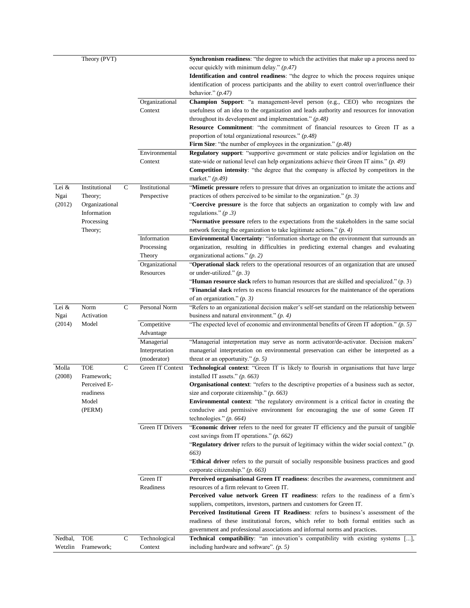|         | Theory (PVT)   |              |                  | Synchronism readiness: "the degree to which the activities that make up a process need to           |
|---------|----------------|--------------|------------------|-----------------------------------------------------------------------------------------------------|
|         |                |              |                  | occur quickly with minimum delay." $(p.47)$                                                         |
|         |                |              |                  | <b>Identification and control readiness</b> : "the degree to which the process requires unique      |
|         |                |              |                  | identification of process participants and the ability to exert control over/influence their        |
|         |                |              |                  | behavior." $(p.47)$                                                                                 |
|         |                |              | Organizational   | Champion Support: "a management-level person (e.g., CEO) who recognizes the                         |
|         |                |              | Context          | usefulness of an idea to the organization and leads authority and resources for innovation          |
|         |                |              |                  | throughout its development and implementation." $(p.48)$                                            |
|         |                |              |                  | Resource Commitment: "the commitment of financial resources to Green IT as a                        |
|         |                |              |                  | proportion of total organizational resources." $(p.48)$                                             |
|         |                |              |                  | Firm Size: "the number of employees in the organization." $(p.48)$                                  |
|         |                |              | Environmental    | Regulatory support: "supportive government or state policies and/or legislation on the              |
|         |                |              | Context          | state-wide or national level can help organizations achieve their Green IT aims." $(p. 49)$         |
|         |                |              |                  | <b>Competition intensity</b> : "the degree that the company is affected by competitors in the       |
|         |                |              |                  | market." $(p.49)$                                                                                   |
| Lei &   | Institutional  | C            | Institutional    | "Mimetic pressure refers to pressure that drives an organization to imitate the actions and         |
| Ngai    | Theory;        |              | Perspective      | practices of others perceived to be similar to the organization." $(p. 3)$                          |
| (2012)  | Organizational |              |                  | "Coercive pressure is the force that subjects an organization to comply with law and                |
|         | Information    |              |                  | regulations." $(p.3)$                                                                               |
|         | Processing     |              |                  | "Normative pressure refers to the expectations from the stakeholders in the same social             |
|         | Theory;        |              |                  | network forcing the organization to take legitimate actions." $(p, 4)$                              |
|         |                |              | Information      | Environmental Uncertainty: "information shortage on the environment that surrounds an               |
|         |                |              | Processing       | organization, resulting in difficulties in predicting external changes and evaluating               |
|         |                |              | Theory           | organizational actions." $(p, 2)$                                                                   |
|         |                |              | Organizational   | "Operational slack refers to the operational resources of an organization that are unused           |
|         |                |              | Resources        | or under-utilized." $(p, 3)$                                                                        |
|         |                |              |                  | " <b>Human resource slack</b> refers to human resources that are skilled and specialized." $(p, 3)$ |
|         |                |              |                  | "Financial slack refers to excess financial resources for the maintenance of the operations         |
|         |                |              |                  | of an organization." $(p, 3)$                                                                       |
| Lei $&$ | Norm           | $\mathsf{C}$ | Personal Norm    | "Refers to an organizational decision maker's self-set standard on the relationship between         |
| Ngai    | Activation     |              |                  | business and natural environment." $(p. 4)$                                                         |
|         |                |              |                  |                                                                                                     |
| (2014)  | Model          |              | Competitive      | "The expected level of economic and environmental benefits of Green IT adoption." $(p. 5)$          |
|         |                |              | Advantage        |                                                                                                     |
|         |                |              | Managerial       | "Managerial interpretation may serve as norm activator/de-activator. Decision makers'               |
|         |                |              | Interpretation   | managerial interpretation on environmental preservation can either be interpreted as a              |
|         |                |              | (moderator)      | threat or an opportunity." $(p. 5)$                                                                 |
| Molla   | <b>TOE</b>     | C            | Green IT Context | Technological context: "Green IT is likely to flourish in organisations that have large             |
| (2008)  | Framework;     |              |                  | installed IT assets." $(p. 663)$                                                                    |
|         | Perceived E-   |              |                  | <b>Organisational context:</b> "refers to the descriptive properties of a business such as sector,  |
|         | readiness      |              |                  | size and corporate citizenship." $(p. 663)$                                                         |
|         | Model          |              |                  | <b>Environmental context</b> : "the regulatory environment is a critical factor in creating the     |
|         | (PERM)         |              |                  | conducive and permissive environment for encouraging the use of some Green IT                       |
|         |                |              |                  | technologies." $(p. 664)$                                                                           |
|         |                |              | Green IT Drivers | "Economic driver refers to the need for greater IT efficiency and the pursuit of tangible           |
|         |                |              |                  | cost savings from IT operations." $(p. 662)$                                                        |
|         |                |              |                  | "Regulatory driver refers to the pursuit of legitimacy within the wider social context." $(p$ .     |
|         |                |              |                  | 663)                                                                                                |
|         |                |              |                  | <b>Ethical driver</b> refers to the pursuit of socially responsible business practices and good     |
|         |                |              |                  | corporate citizenship." $(p. 663)$                                                                  |
|         |                |              | Green IT         | Perceived organisational Green IT readiness: describes the awareness, commitment and                |
|         |                |              | Readiness        | resources of a firm relevant to Green IT.                                                           |
|         |                |              |                  | Perceived value network Green IT readiness: refers to the readiness of a firm's                     |
|         |                |              |                  | suppliers, competitors, investors, partners and customers for Green IT.                             |
|         |                |              |                  | Perceived Institutional Green IT Readiness: refers to business's assessment of the                  |
|         |                |              |                  | readiness of these institutional forces, which refer to both formal entities such as                |
|         |                |              |                  | government and professional associations and informal norms and practices.                          |
| Nedbal, | <b>TOE</b>     | $\mathsf C$  | Technological    | <b>Technical compatibility</b> : "an innovation's compatibility with existing systems [],           |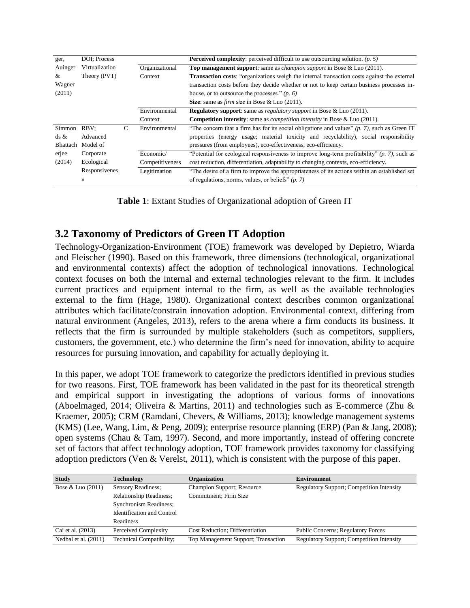| ger,            | DOI: Process                     |   |                 | <b>Perceived complexity:</b> perceived difficult to use outsourcing solution. $(p, 5)$             |  |  |  |
|-----------------|----------------------------------|---|-----------------|----------------------------------------------------------------------------------------------------|--|--|--|
| Auinger         | Virtualization<br>Organizational |   |                 | <b>Top management support:</b> same as <i>champion support</i> in Bose & Luo (2011).               |  |  |  |
| &               | Theory (PVT)<br>Context          |   |                 | <b>Transaction costs:</b> "organizations weigh the internal transaction costs against the external |  |  |  |
| Wagner          |                                  |   |                 | transaction costs before they decide whether or not to keep certain business processes in-         |  |  |  |
| (2011)          |                                  |   |                 | house, or to outsource the processes." $(p, 6)$                                                    |  |  |  |
|                 |                                  |   |                 | <b>Size:</b> same as <i>firm size</i> in Bose & Luo $(2011)$ .                                     |  |  |  |
|                 |                                  |   | Environmental   | <b>Regulatory support:</b> same as <i>regulatory support</i> in Bose & Luo (2011).                 |  |  |  |
|                 |                                  |   | Context         | <b>Competition intensity</b> : same as <i>competition intensity</i> in Bose & Luo (2011).          |  |  |  |
| Simmon          | RBV:                             | C | Environmental   | "The concern that a firm has for its social obligations and values" $(p, 7)$ , such as Green IT    |  |  |  |
| $ds \&$         | Advanced                         |   |                 | properties (energy usage; material toxicity and recyclability), social responsibility              |  |  |  |
| <b>Bhattach</b> | Model of                         |   |                 | pressures (from employees), eco-effectiveness, eco-efficiency.                                     |  |  |  |
| erjee           | Corporate                        |   | Economic/       | "Potential for ecological responsiveness to improve long-term profitability" $(p, 7)$ , such as    |  |  |  |
| (2014)          | Ecological                       |   | Competitiveness | cost reduction, differentiation, adaptability to changing contexts, eco-efficiency.                |  |  |  |
|                 | Responsivenes                    |   | Legitimation    | "The desire of a firm to improve the appropriateness of its actions within an established set      |  |  |  |
|                 | s                                |   |                 | of regulations, norms, values, or beliefs" $(p, 7)$                                                |  |  |  |

**Table 1**: Extant Studies of Organizational adoption of Green IT

### **3.2 Taxonomy of Predictors of Green IT Adoption**

Technology-Organization-Environment (TOE) framework was developed by Depietro, Wiarda and Fleischer (1990). Based on this framework, three dimensions (technological, organizational and environmental contexts) affect the adoption of technological innovations. Technological context focuses on both the internal and external technologies relevant to the firm. It includes current practices and equipment internal to the firm, as well as the available technologies external to the firm (Hage, 1980). Organizational context describes common organizational attributes which facilitate/constrain innovation adoption. Environmental context, differing from natural environment (Angeles, 2013), refers to the arena where a firm conducts its business. It reflects that the firm is surrounded by multiple stakeholders (such as competitors, suppliers, customers, the government, etc.) who determine the firm's need for innovation, ability to acquire resources for pursuing innovation, and capability for actually deploying it.

In this paper, we adopt TOE framework to categorize the predictors identified in previous studies for two reasons. First, TOE framework has been validated in the past for its theoretical strength and empirical support in investigating the adoptions of various forms of innovations (Aboelmaged, 2014; Oliveira & Martins, 2011) and technologies such as E-commerce (Zhu & Kraemer, 2005); CRM (Ramdani, Chevers, & Williams, 2013); knowledge management systems (KMS) (Lee, Wang, Lim, & Peng, 2009); enterprise resource planning (ERP) (Pan & Jang, 2008); open systems (Chau & Tam, 1997). Second, and more importantly, instead of offering concrete set of factors that affect technology adoption, TOE framework provides taxonomy for classifying adoption predictors (Ven & Verelst, 2011), which is consistent with the purpose of this paper.

| <b>Study</b>         | <b>Technology</b>                 | Organization                           | <b>Environment</b>                               |
|----------------------|-----------------------------------|----------------------------------------|--------------------------------------------------|
| Bose & Luo $(2011)$  | <b>Sensory Readiness:</b>         | <b>Champion Support</b> ; Resource     | <b>Regulatory Support; Competition Intensity</b> |
|                      | <b>Relationship Readiness:</b>    | Commitment; Firm Size                  |                                                  |
|                      | Synchronism Readiness;            |                                        |                                                  |
|                      | <b>Identification and Control</b> |                                        |                                                  |
|                      | <b>Readiness</b>                  |                                        |                                                  |
| Cai et al. (2013)    | Perceived Complexity              | <b>Cost Reduction: Differentiation</b> | <b>Public Concerns: Regulatory Forces</b>        |
| Nedbal et al. (2011) | <b>Technical Compatibility:</b>   | Top Management Support; Transaction    | <b>Regulatory Support; Competition Intensity</b> |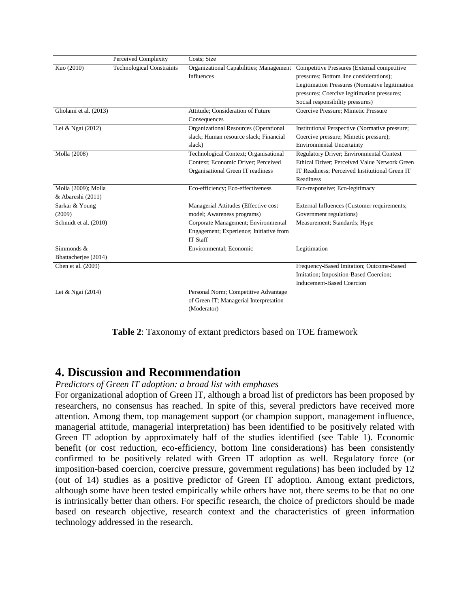|                                          | Perceived Complexity             | Costs: Size                                                                                                       |                                                                                                                                                                                                                             |
|------------------------------------------|----------------------------------|-------------------------------------------------------------------------------------------------------------------|-----------------------------------------------------------------------------------------------------------------------------------------------------------------------------------------------------------------------------|
| Kuo (2010)                               | <b>Technological Constraints</b> | Organizational Capabilities; Management<br><b>Influences</b>                                                      | Competitive Pressures (External competitive<br>pressures; Bottom line considerations);<br>Legitimation Pressures (Normative legitimation<br>pressures; Coercive legitimation pressures;<br>Social responsibility pressures) |
| Gholami et al. (2013)                    |                                  | Attitude; Consideration of Future<br>Consequences                                                                 | Coercive Pressure; Mimetic Pressure                                                                                                                                                                                         |
| Lei & Ngai (2012)                        |                                  | Organizational Resources (Operational<br>slack; Human resource slack; Financial<br>slack)                         | Institutional Perspective (Normative pressure;<br>Coercive pressure; Mimetic pressure);<br><b>Environmental Uncertainty</b>                                                                                                 |
| Molla (2008)                             |                                  | Technological Context; Organisational<br>Context: Economic Driver: Perceived<br>Organisational Green IT readiness | Regulatory Driver; Environmental Context<br>Ethical Driver: Perceived Value Network Green<br>IT Readiness; Perceived Institutional Green IT<br>Readiness                                                                    |
| Molla (2009); Molla<br>& Abareshi (2011) |                                  | Eco-efficiency; Eco-effectiveness                                                                                 | Eco-responsive; Eco-legitimacy                                                                                                                                                                                              |
| Sarkar & Young<br>(2009)                 |                                  | Managerial Attitudes (Effective cost<br>model; Awareness programs)                                                | External Influences (Customer requirements;<br>Government regulations)                                                                                                                                                      |
| Schmidt et al. (2010)                    |                                  | Corporate Management; Environmental<br>Engagement; Experience; Initiative from<br><b>IT Staff</b>                 | Measurement; Standards; Hype                                                                                                                                                                                                |
| Simmonds $&$<br>Bhattacherjee (2014)     |                                  | Environmental; Economic                                                                                           | Legitimation                                                                                                                                                                                                                |
| Chen et al. (2009)                       |                                  |                                                                                                                   | Frequency-Based Imitation; Outcome-Based<br>Imitation; Imposition-Based Coercion;<br><b>Inducement-Based Coercion</b>                                                                                                       |
| Lei & Ngai (2014)                        |                                  | Personal Norm; Competitive Advantage<br>of Green IT; Managerial Interpretation<br>(Moderator)                     |                                                                                                                                                                                                                             |

**Table 2**: Taxonomy of extant predictors based on TOE framework

### **4. Discussion and Recommendation**

*Predictors of Green IT adoption: a broad list with emphases*

For organizational adoption of Green IT, although a broad list of predictors has been proposed by researchers, no consensus has reached. In spite of this, several predictors have received more attention. Among them, top management support (or champion support, management influence, managerial attitude, managerial interpretation) has been identified to be positively related with Green IT adoption by approximately half of the studies identified (see Table 1). Economic benefit (or cost reduction, eco-efficiency, bottom line considerations) has been consistently confirmed to be positively related with Green IT adoption as well. Regulatory force (or imposition-based coercion, coercive pressure, government regulations) has been included by 12 (out of 14) studies as a positive predictor of Green IT adoption. Among extant predictors, although some have been tested empirically while others have not, there seems to be that no one is intrinsically better than others. For specific research, the choice of predictors should be made based on research objective, research context and the characteristics of green information technology addressed in the research.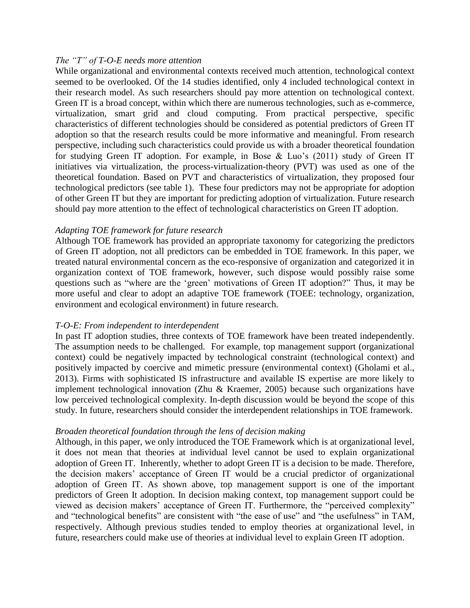#### *The "T" of T-O-E needs more attention*

While organizational and environmental contexts received much attention, technological context seemed to be overlooked. Of the 14 studies identified, only 4 included technological context in their research model. As such researchers should pay more attention on technological context. Green IT is a broad concept, within which there are numerous technologies, such as e-commerce, virtualization, smart grid and cloud computing. From practical perspective, specific characteristics of different technologies should be considered as potential predictors of Green IT adoption so that the research results could be more informative and meaningful. From research perspective, including such characteristics could provide us with a broader theoretical foundation for studying Green IT adoption. For example, in Bose & Luo's (2011) study of Green IT initiatives via virtualization, the process-virtualization-theory (PVT) was used as one of the theoretical foundation. Based on PVT and characteristics of virtualization, they proposed four technological predictors (see table 1). These four predictors may not be appropriate for adoption of other Green IT but they are important for predicting adoption of virtualization. Future research should pay more attention to the effect of technological characteristics on Green IT adoption.

#### *Adapting TOE framework for future research*

Although TOE framework has provided an appropriate taxonomy for categorizing the predictors of Green IT adoption, not all predictors can be embedded in TOE framework. In this paper, we treated natural environmental concern as the eco-responsive of organization and categorized it in organization context of TOE framework, however, such dispose would possibly raise some questions such as "where are the 'green' motivations of Green IT adoption?" Thus, it may be more useful and clear to adopt an adaptive TOE framework (TOEE: technology, organization, environment and ecological environment) in future research.

#### *T-O-E: From independent to interdependent*

In past IT adoption studies, three contexts of TOE framework have been treated independently. The assumption needs to be challenged. For example, top management support (organizational context) could be negatively impacted by technological constraint (technological context) and positively impacted by coercive and mimetic pressure (environmental context) (Gholami et al., 2013). Firms with sophisticated IS infrastructure and available IS expertise are more likely to implement technological innovation (Zhu & Kraemer, 2005) because such organizations have low perceived technological complexity. In-depth discussion would be beyond the scope of this study. In future, researchers should consider the interdependent relationships in TOE framework.

#### *Broaden theoretical foundation through the lens of decision making*

Although, in this paper, we only introduced the TOE Framework which is at organizational level, it does not mean that theories at individual level cannot be used to explain organizational adoption of Green IT. Inherently, whether to adopt Green IT is a decision to be made. Therefore, the decision makers' acceptance of Green IT would be a crucial predictor of organizational adoption of Green IT. As shown above, top management support is one of the important predictors of Green It adoption. In decision making context, top management support could be viewed as decision makers' acceptance of Green IT. Furthermore, the "perceived complexity" and "technological benefits" are consistent with "the ease of use" and "the usefulness" in TAM, respectively. Although previous studies tended to employ theories at organizational level, in future, researchers could make use of theories at individual level to explain Green IT adoption.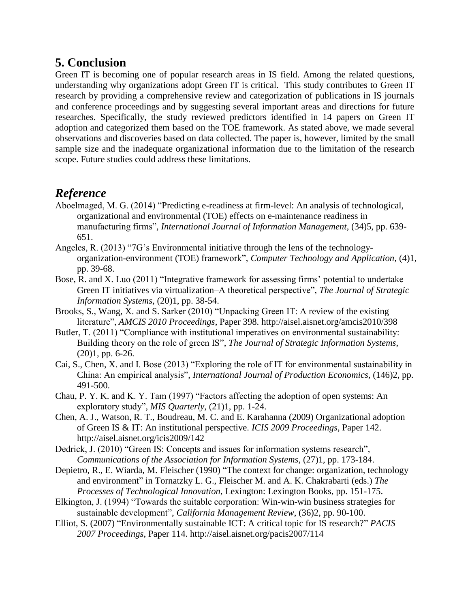# **5. Conclusion**

Green IT is becoming one of popular research areas in IS field. Among the related questions, understanding why organizations adopt Green IT is critical. This study contributes to Green IT research by providing a comprehensive review and categorization of publications in IS journals and conference proceedings and by suggesting several important areas and directions for future researches. Specifically, the study reviewed predictors identified in 14 papers on Green IT adoption and categorized them based on the TOE framework. As stated above, we made several observations and discoveries based on data collected. The paper is, however, limited by the small sample size and the inadequate organizational information due to the limitation of the research scope. Future studies could address these limitations.

# *Reference*

- Aboelmaged, M. G. (2014) "Predicting e-readiness at firm-level: An analysis of technological, organizational and environmental (TOE) effects on e-maintenance readiness in manufacturing firms", *International Journal of Information Management*, (34)5, pp. 639- 651.
- Angeles, R. (2013) "7G's Environmental initiative through the lens of the technologyorganization-environment (TOE) framework", *Computer Technology and Application*, (4)1, pp. 39-68.
- Bose, R. and X. Luo (2011) "Integrative framework for assessing firms' potential to undertake Green IT initiatives via virtualization–A theoretical perspective", *The Journal of Strategic Information Systems*, (20)1, pp. 38-54.
- Brooks, S., Wang, X. and S. Sarker (2010) "Unpacking Green IT: A review of the existing literature", *AMCIS 2010 Proceedings*, Paper 398. http://aisel.aisnet.org/amcis2010/398
- Butler, T. (2011) "Compliance with institutional imperatives on environmental sustainability: Building theory on the role of green IS", *The Journal of Strategic Information Systems*, (20)1, pp. 6-26.
- Cai, S., Chen, X. and I. Bose (2013) "Exploring the role of IT for environmental sustainability in China: An empirical analysis", *International Journal of Production Economics*, (146)2, pp. 491-500.
- Chau, P. Y. K. and K. Y. Tam (1997) "Factors affecting the adoption of open systems: An exploratory study", *MIS Quarterly*, (21)1, pp. 1-24.
- Chen, A. J., Watson, R. T., Boudreau, M. C. and E. Karahanna (2009) Organizational adoption of Green IS & IT: An institutional perspective. *ICIS 2009 Proceedings*, Paper 142. http://aisel.aisnet.org/icis2009/142
- Dedrick, J. (2010) "Green IS: Concepts and issues for information systems research", *Communications of the Association for Information Systems*, (27)1, pp. 173-184.
- Depietro, R., E. Wiarda, M. Fleischer (1990) "The context for change: organization, technology and environment" in Tornatzky L. G., Fleischer M. and A. K. Chakrabarti (eds.) *The Processes of Technological Innovation*, Lexington: Lexington Books, pp. 151-175.
- Elkington, J. (1994) "Towards the suitable corporation: Win-win-win business strategies for sustainable development", *California Management Review*, (36)2, pp. 90-100.
- Elliot, S. (2007) "Environmentally sustainable ICT: A critical topic for IS research?" *PACIS 2007 Proceedings*, Paper 114. http://aisel.aisnet.org/pacis2007/114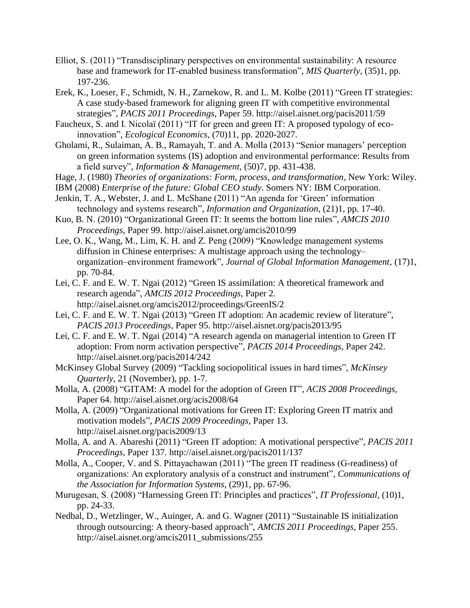- Elliot, S. (2011) "Transdisciplinary perspectives on environmental sustainability: A resource base and framework for IT-enabled business transformation", *MIS Quarterly*, (35)1, pp. 197-236.
- Erek, K., Loeser, F., Schmidt, N. H., Zarnekow, R. and L. M. Kolbe (2011) "Green IT strategies: A case study-based framework for aligning green IT with competitive environmental strategies", *PACIS 2011 Proceedings*, Paper 59. http://aisel.aisnet.org/pacis2011/59
- Faucheux, S. and I. Nicolaï (2011) "IT for green and green IT: A proposed typology of ecoinnovation", *Ecological Economics*, (70)11, pp. 2020-2027.
- Gholami, R., Sulaiman, A. B., Ramayah, T. and A. Molla (2013) "Senior managers' perception on green information systems (IS) adoption and environmental performance: Results from a field survey", *Information & Management*, (50)7, pp. 431-438.
- Hage, J. (1980) *Theories of organizations: Form, process, and transformation,* New York: Wiley.
- IBM (2008) *Enterprise of the future: Global CEO study*. Somers NY: IBM Corporation.
- Jenkin, T. A., Webster, J. and L. McShane (2011) "An agenda for 'Green' information technology and systems research", *Information and Organization*, (21)1, pp. 17-40.
- Kuo, B. N. (2010) "Organizational Green IT: It seems the bottom line rules", *AMCIS 2010 Proceedings*, Paper 99. http://aisel.aisnet.org/amcis2010/99
- Lee, O. K., Wang, M., Lim, K. H. and Z. Peng (2009) "Knowledge management systems diffusion in Chinese enterprises: A multistage approach using the technology– organization–environment framework", *Journal of Global Information Management*, (17)1, pp. 70-84.
- Lei, C. F. and E. W. T. Ngai (2012) "Green IS assimilation: A theoretical framework and research agenda", *AMCIS 2012 Proceedings*, Paper 2. http://aisel.aisnet.org/amcis2012/proceedings/GreenIS/2
- Lei, C. F. and E. W. T. Ngai (2013) "Green IT adoption: An academic review of literature", *PACIS 2013 Proceedings*, Paper 95. http://aisel.aisnet.org/pacis2013/95
- Lei, C. F. and E. W. T. Ngai (2014) "A research agenda on managerial intention to Green IT adoption: From norm activation perspective", *PACIS 2014 Proceedings*, Paper 242. <http://aisel.aisnet.org/pacis2014/242>
- McKinsey Global Survey (2009) "Tackling sociopolitical issues in hard times", *McKinsey Quarterly*, 21 (November), pp. 1-7.
- Molla, A. (2008) "GITAM: A model for the adoption of Green IT", *ACIS 2008 Proceedings*, Paper 64. http://aisel.aisnet.org/acis2008/64
- Molla, A. (2009) "Organizational motivations for Green IT: Exploring Green IT matrix and motivation models", *PACIS 2009 Proceedings*, Paper 13. http://aisel.aisnet.org/pacis2009/13
- Molla, A. and A. Abareshi (2011) "Green IT adoption: A motivational perspective", *PACIS 2011 Proceedings*, Paper 137. http://aisel.aisnet.org/pacis2011/137
- Molla, A., Cooper, V. and S. Pittayachawan (2011) "The green IT readiness (G-readiness) of organizations: An exploratory analysis of a construct and instrument", *Communications of the Association for Information Systems*, (29)1, pp. 67-96.
- Murugesan, S. (2008) "Harnessing Green IT: Principles and practices", *IT Professional*, (10)1, pp. 24-33.
- Nedbal, D., Wetzlinger, W., Auinger, A. and G. Wagner (2011) "Sustainable IS initialization through outsourcing: A theory-based approach", *AMCIS 2011 Proceedings*, Paper 255. http://aisel.aisnet.org/amcis2011\_submissions/255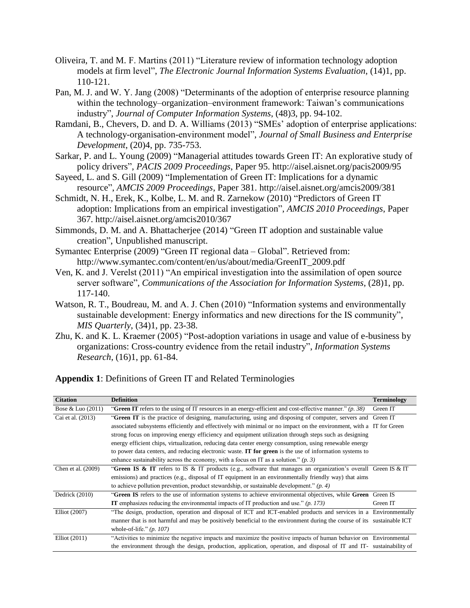- Oliveira, T. and M. F. Martins (2011) "Literature review of information technology adoption models at firm level", *The Electronic Journal Information Systems Evaluation*, (14)1, pp. 110-121.
- Pan, M. J. and W. Y. Jang (2008) "Determinants of the adoption of enterprise resource planning within the technology–organization–environment framework: Taiwan's communications industry", *Journal of Computer Information Systems*, (48)3, pp. 94-102.
- Ramdani, B., Chevers, D. and D. A. Williams (2013) "SMEs' adoption of enterprise applications: A technology-organisation-environment model", *Journal of Small Business and Enterprise Development*, (20)4, pp. 735-753.
- Sarkar, P. and L. Young (2009) "Managerial attitudes towards Green IT: An explorative study of policy drivers", *PACIS 2009 Proceedings*, Paper 95. http://aisel.aisnet.org/pacis2009/95
- Sayeed, L. and S. Gill (2009) "Implementation of Green IT: Implications for a dynamic resource", *AMCIS 2009 Proceedings*, Paper 381. http://aisel.aisnet.org/amcis2009/381
- Schmidt, N. H., Erek, K., Kolbe, L. M. and R. Zarnekow (2010) "Predictors of Green IT adoption: Implications from an empirical investigation", *AMCIS 2010 Proceedings*, Paper 367. http://aisel.aisnet.org/amcis2010/367
- Simmonds, D. M. and A. Bhattacherjee (2014) "Green IT adoption and sustainable value creation", Unpublished manuscript.
- Symantec Enterprise (2009) "Green IT regional data Global". Retrieved from: http://www.symantec.com/content/en/us/about/media/GreenIT\_2009.pdf
- Ven, K. and J. Verelst (2011) "An empirical investigation into the assimilation of open source server software", *Communications of the Association for Information Systems*, (28)1, pp. 117-140.
- Watson, R. T., Boudreau, M. and A. J. Chen (2010) "Information systems and environmentally sustainable development: Energy informatics and new directions for the IS community", *MIS Quarterly*, (34)1, pp. 23-38.
- Zhu, K. and K. L. Kraemer (2005) "Post-adoption variations in usage and value of e-business by organizations: Cross-country evidence from the retail industry", *Information Systems Research*, (16)1, pp. 61-84.

| <b>Citation</b>     | <b>Definition</b>                                                                                                       | <b>Terminology</b> |  |  |  |  |
|---------------------|-------------------------------------------------------------------------------------------------------------------------|--------------------|--|--|--|--|
| Bose & Luo $(2011)$ | "Green IT refers to the using of IT resources in an energy-efficient and cost-effective manner." $(p. 38)$              | Green IT           |  |  |  |  |
| Cai et al. (2013)   | "Green IT is the practice of designing, manufacturing, using and disposing of computer, servers and Green IT            |                    |  |  |  |  |
|                     | associated subsystems efficiently and effectively with minimal or no impact on the environment, with a IT for Green     |                    |  |  |  |  |
|                     | strong focus on improving energy efficiency and equipment utilization through steps such as designing                   |                    |  |  |  |  |
|                     | energy efficient chips, virtualization, reducing data center energy consumption, using renewable energy                 |                    |  |  |  |  |
|                     | to power data centers, and reducing electronic waste. <b>IT for green</b> is the use of information systems to          |                    |  |  |  |  |
|                     | enhance sustainability across the economy, with a focus on IT as a solution." ( <i>p.</i> 3)                            |                    |  |  |  |  |
| Chen et al. (2009)  | "Green IS & IT refers to IS & IT products (e.g., software that manages an organization's overall Green IS & IT          |                    |  |  |  |  |
|                     | emissions) and practices (e.g., disposal of IT equipment in an environmentally friendly way) that aims                  |                    |  |  |  |  |
|                     | to achieve pollution prevention, product stewardship, or sustainable development." $(p, 4)$                             |                    |  |  |  |  |
| Dedrick (2010)      | "Green IS refers to the use of information systems to achieve environmental objectives, while Green Green IS            |                    |  |  |  |  |
|                     | <b>IT</b> emphasizes reducing the environmental impacts of IT production and use." $(p. 173)$                           | Green IT           |  |  |  |  |
| Elliot (2007)       | "The design, production, operation and disposal of ICT and ICT-enabled products and services in a Environmentally       |                    |  |  |  |  |
|                     | manner that is not harmful and may be positively beneficial to the environment during the course of its sustainable ICT |                    |  |  |  |  |
|                     | whole-of-life." $(p. 107)$                                                                                              |                    |  |  |  |  |
| Elliot $(2011)$     | "Activities to minimize the negative impacts and maximize the positive impacts of human behavior on Environmental       |                    |  |  |  |  |
|                     | the environment through the design, production, application, operation, and disposal of IT and IT- sustainability of    |                    |  |  |  |  |

**Appendix 1**: Definitions of Green IT and Related Terminologies